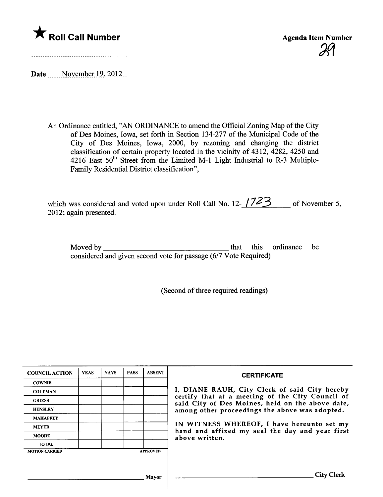



Date  $\frac{\text{November 19, 2012}}{\text{November}}$ 

An Ordinance entitled, "AN ORDINANCE to amend the Official Zoning Map of the City of Des Moines, Iowa, set forth in Section 134-277 of the Municipal Code of the City of Des Moines, Iowa, 2000, by rezoning and changing the district classification of certain property located in the vicinity of 4312, 4282, 4250 and 4216 East  $50<sup>th</sup>$  Street from the Limited M-1 Light Industrial to R-3 Multiple-Family Residential District classification",

| which was considered and voted upon under Roll Call No. 12- $1723$ of November 5, |  |
|-----------------------------------------------------------------------------------|--|
| 2012; again presented.                                                            |  |

Moved by  $\frac{1}{\sqrt{1-\frac{1}{2}}\sqrt{1-\frac{1}{2}}\sqrt{1-\frac{1}{2}}\sqrt{1-\frac{1}{2}}}}$  that this ordinance be considered and given second vote for passage (6/7 Vote Required)

(Second of three required readings)

| <b>COUNCIL ACTION</b> | <b>YEAS</b> | <b>NAYS</b> | <b>PASS</b> | <b>ABSENT</b>   | <b>CERTIFICATE</b>                                                                                   |  |
|-----------------------|-------------|-------------|-------------|-----------------|------------------------------------------------------------------------------------------------------|--|
| <b>COWNIE</b>         |             |             |             |                 |                                                                                                      |  |
| <b>COLEMAN</b>        |             |             |             |                 | I, DIANE RAUH, City Clerk of said City hereby                                                        |  |
| <b>GRIESS</b>         |             |             |             |                 | certify that at a meeting of the City Council of<br>said City of Des Moines, held on the above date, |  |
| <b>HENSLEY</b>        |             |             |             |                 | among other proceedings the above was adopted.<br>IN WITNESS WHEREOF, I have hereunto set my         |  |
| <b>MAHAFFEY</b>       |             |             |             |                 |                                                                                                      |  |
| <b>MEYER</b>          |             |             |             |                 |                                                                                                      |  |
| <b>MOORE</b>          |             |             |             |                 | hand and affixed my seal the day and year first<br>above written.                                    |  |
| <b>TOTAL</b>          |             |             |             |                 |                                                                                                      |  |
| <b>MOTION CARRIED</b> |             |             |             | <b>APPROVED</b> |                                                                                                      |  |
|                       |             |             |             |                 |                                                                                                      |  |
|                       |             |             |             |                 |                                                                                                      |  |
|                       |             |             |             | Mayor           | City Clerk                                                                                           |  |

 $\overline{\phantom{a}}$